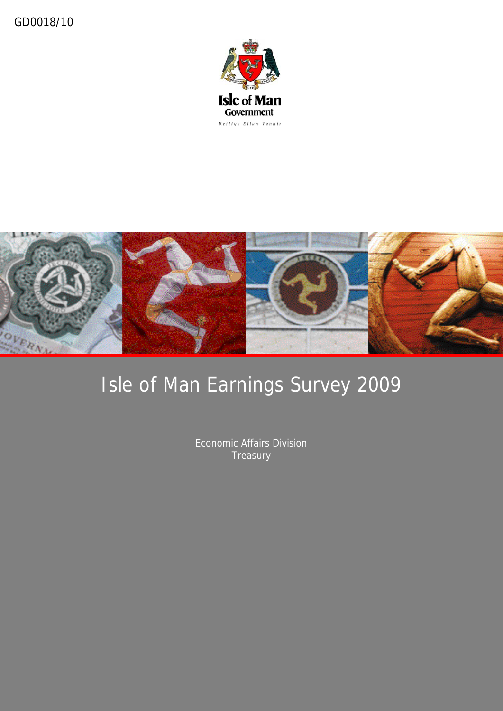



# Isle of Man Earnings Survey 2009

Economic Affairs Division **Treasury**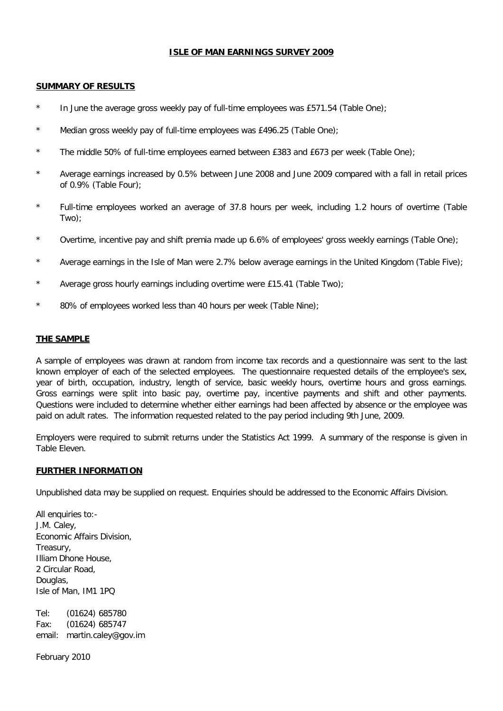#### **ISLE OF MAN EARNINGS SURVEY 2009**

#### **SUMMARY OF RESULTS**

- \* In June the average gross weekly pay of full-time employees was £571.54 (Table One);
- \* Median gross weekly pay of full-time employees was £496.25 (Table One);
- \* The middle 50% of full-time employees earned between £383 and £673 per week (Table One);
- Average earnings increased by 0.5% between June 2008 and June 2009 compared with a fall in retail prices of 0.9% (Table Four);
- \* Full-time employees worked an average of 37.8 hours per week, including 1.2 hours of overtime (Table Two);
- \* Overtime, incentive pay and shift premia made up 6.6% of employees' gross weekly earnings (Table One);
- \* Average earnings in the Isle of Man were 2.7% below average earnings in the United Kingdom (Table Five);
- Average gross hourly earnings including overtime were £15.41 (Table Two);
- 80% of employees worked less than 40 hours per week (Table Nine);

#### **THE SAMPLE**

A sample of employees was drawn at random from income tax records and a questionnaire was sent to the last known employer of each of the selected employees. The questionnaire requested details of the employee's sex, year of birth, occupation, industry, length of service, basic weekly hours, overtime hours and gross earnings. Gross earnings were split into basic pay, overtime pay, incentive payments and shift and other payments. Questions were included to determine whether either earnings had been affected by absence or the employee was paid on adult rates. The information requested related to the pay period including 9th June, 2009.

Employers were required to submit returns under the Statistics Act 1999. A summary of the response is given in Table Eleven.

#### **FURTHER INFORMATION**

Unpublished data may be supplied on request. Enquiries should be addressed to the Economic Affairs Division.

All enquiries to:-J.M. Caley, Economic Affairs Division, Treasury, Illiam Dhone House, 2 Circular Road, Douglas, Isle of Man, IM1 1PQ

Tel: (01624) 685780 Fax: (01624) 685747 email: martin.caley@gov.im

February 2010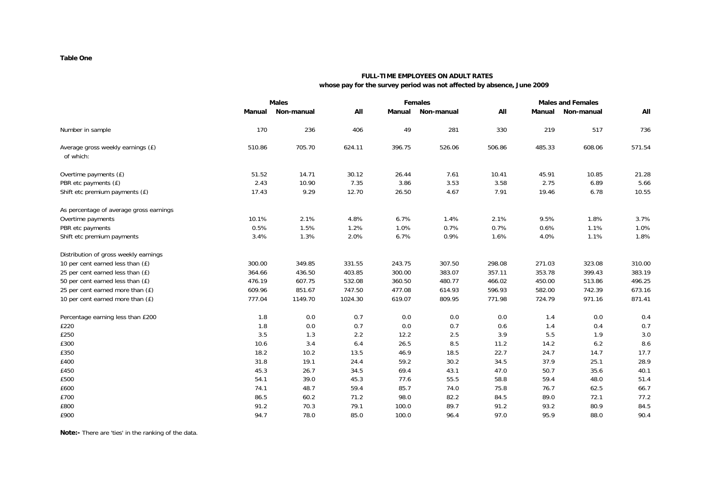#### **Table One**

### **FULL-TIME EMPLOYEES ON ADULT RATES**

 **whose pay for the survey period was not affected by absence, June 2009**

|                                                |        | <b>Males</b><br><b>Females</b> |         |        |            | <b>Males and Females</b> |        |            |        |
|------------------------------------------------|--------|--------------------------------|---------|--------|------------|--------------------------|--------|------------|--------|
|                                                | Manual | Non-manual                     | All     | Manual | Non-manual | All                      | Manual | Non-manual | All    |
| Number in sample                               | 170    | 236                            | 406     | 49     | 281        | 330                      | 219    | 517        | 736    |
| Average gross weekly earnings (£)<br>of which: | 510.86 | 705.70                         | 624.11  | 396.75 | 526.06     | 506.86                   | 485.33 | 608.06     | 571.54 |
| Overtime payments (£)                          | 51.52  | 14.71                          | 30.12   | 26.44  | 7.61       | 10.41                    | 45.91  | 10.85      | 21.28  |
| PBR etc payments (£)                           | 2.43   | 10.90                          | 7.35    | 3.86   | 3.53       | 3.58                     | 2.75   | 6.89       | 5.66   |
| Shift etc premium payments (£)                 | 17.43  | 9.29                           | 12.70   | 26.50  | 4.67       | 7.91                     | 19.46  | 6.78       | 10.55  |
| As percentage of average gross earnings        |        |                                |         |        |            |                          |        |            |        |
| Overtime payments                              | 10.1%  | 2.1%                           | 4.8%    | 6.7%   | 1.4%       | 2.1%                     | 9.5%   | 1.8%       | 3.7%   |
| PBR etc payments                               | 0.5%   | 1.5%                           | 1.2%    | 1.0%   | 0.7%       | 0.7%                     | 0.6%   | 1.1%       | 1.0%   |
| Shift etc premium payments                     | 3.4%   | 1.3%                           | 2.0%    | 6.7%   | 0.9%       | 1.6%                     | 4.0%   | 1.1%       | 1.8%   |
| Distribution of gross weekly earnings          |        |                                |         |        |            |                          |        |            |        |
| 10 per cent earned less than (£)               | 300.00 | 349.85                         | 331.55  | 243.75 | 307.50     | 298.08                   | 271.03 | 323.08     | 310.00 |
| 25 per cent earned less than (£)               | 364.66 | 436.50                         | 403.85  | 300.00 | 383.07     | 357.11                   | 353.78 | 399.43     | 383.19 |
| 50 per cent earned less than (£)               | 476.19 | 607.75                         | 532.08  | 360.50 | 480.77     | 466.02                   | 450.00 | 513.86     | 496.25 |
| 25 per cent earned more than (£)               | 609.96 | 851.67                         | 747.50  | 477.08 | 614.93     | 596.93                   | 582.00 | 742.39     | 673.16 |
| 10 per cent earned more than (£)               | 777.04 | 1149.70                        | 1024.30 | 619.07 | 809.95     | 771.98                   | 724.79 | 971.16     | 871.41 |
| Percentage earning less than £200              | 1.8    | 0.0                            | 0.7     | 0.0    | 0.0        | 0.0                      | 1.4    | 0.0        | 0.4    |
| £220                                           | 1.8    | 0.0                            | 0.7     | 0.0    | 0.7        | 0.6                      | 1.4    | 0.4        | 0.7    |
| £250                                           | 3.5    | 1.3                            | 2.2     | 12.2   | 2.5        | 3.9                      | 5.5    | 1.9        | 3.0    |
| £300                                           | 10.6   | 3.4                            | 6.4     | 26.5   | 8.5        | 11.2                     | 14.2   | 6.2        | 8.6    |
| £350                                           | 18.2   | 10.2                           | 13.5    | 46.9   | 18.5       | 22.7                     | 24.7   | 14.7       | 17.7   |
| £400                                           | 31.8   | 19.1                           | 24.4    | 59.2   | 30.2       | 34.5                     | 37.9   | 25.1       | 28.9   |
| £450                                           | 45.3   | 26.7                           | 34.5    | 69.4   | 43.1       | 47.0                     | 50.7   | 35.6       | 40.1   |
| £500                                           | 54.1   | 39.0                           | 45.3    | 77.6   | 55.5       | 58.8                     | 59.4   | 48.0       | 51.4   |
| £600                                           | 74.1   | 48.7                           | 59.4    | 85.7   | 74.0       | 75.8                     | 76.7   | 62.5       | 66.7   |
| £700                                           | 86.5   | 60.2                           | 71.2    | 98.0   | 82.2       | 84.5                     | 89.0   | 72.1       | 77.2   |
| £800                                           | 91.2   | 70.3                           | 79.1    | 100.0  | 89.7       | 91.2                     | 93.2   | 80.9       | 84.5   |
| £900                                           | 94.7   | 78.0                           | 85.0    | 100.0  | 96.4       | 97.0                     | 95.9   | 88.0       | 90.4   |

**Note:-** There are 'ties' in the ranking of the data.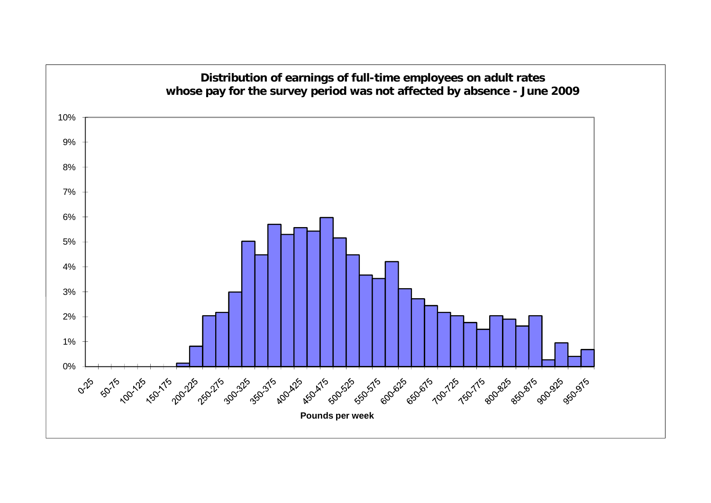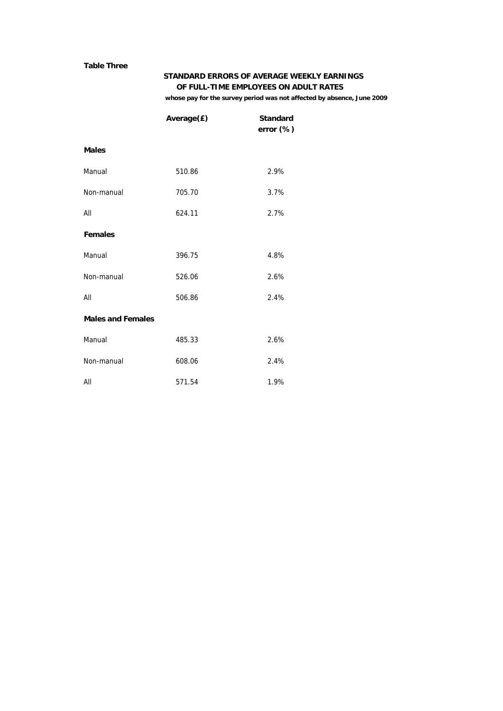#### **Table Three**

#### **STANDARD ERRORS OF AVERAGE WEEKLY EARNINGS OF FULL-TIME EMPLOYEES ON ADULT RATES**

 **whose pay for the survey period was not affected by absence, June 2009**

|                          | Average(£) | <b>Standard</b><br>error (%) |
|--------------------------|------------|------------------------------|
| <b>Males</b>             |            |                              |
| Manual                   | 510.86     | 2.9%                         |
| Non-manual               | 705.70     | 3.7%                         |
| All                      | 624.11     | 2.7%                         |
| <b>Females</b>           |            |                              |
| Manual                   | 396.75     | 4.8%                         |
| Non-manual               | 526.06     | 2.6%                         |
| All                      | 506.86     | 2.4%                         |
| <b>Males and Females</b> |            |                              |
| Manual                   | 485.33     | 2.6%                         |
| Non-manual               | 608.06     | 2.4%                         |
| All                      | 571.54     | 1.9%                         |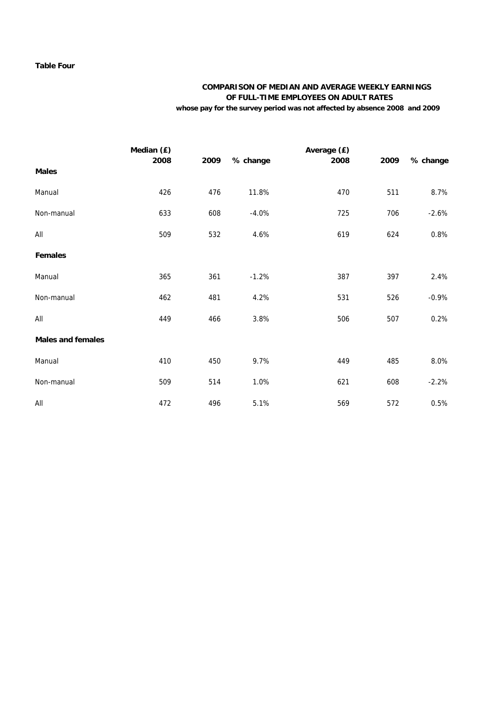#### **Table Four**

### **COMPARISON OF MEDIAN AND AVERAGE WEEKLY EARNINGS OF FULL-TIME EMPLOYEES ON ADULT RATES**

 **whose pay for the survey period was not affected by absence 2008 and 2009**

|                          | Median (£) |      |          | Average (£) |      |          |
|--------------------------|------------|------|----------|-------------|------|----------|
| <b>Males</b>             | 2008       | 2009 | % change | 2008        | 2009 | % change |
| Manual                   | 426        | 476  | 11.8%    | 470         | 511  | 8.7%     |
| Non-manual               | 633        | 608  | $-4.0%$  | 725         | 706  | $-2.6%$  |
| All                      | 509        | 532  | 4.6%     | 619         | 624  | 0.8%     |
| <b>Females</b>           |            |      |          |             |      |          |
| Manual                   | 365        | 361  | $-1.2%$  | 387         | 397  | 2.4%     |
| Non-manual               | 462        | 481  | 4.2%     | 531         | 526  | $-0.9%$  |
| All                      | 449        | 466  | 3.8%     | 506         | 507  | 0.2%     |
| <b>Males and females</b> |            |      |          |             |      |          |
| Manual                   | 410        | 450  | 9.7%     | 449         | 485  | 8.0%     |
| Non-manual               | 509        | 514  | 1.0%     | 621         | 608  | $-2.2%$  |
| All                      | 472        | 496  | 5.1%     | 569         | 572  | 0.5%     |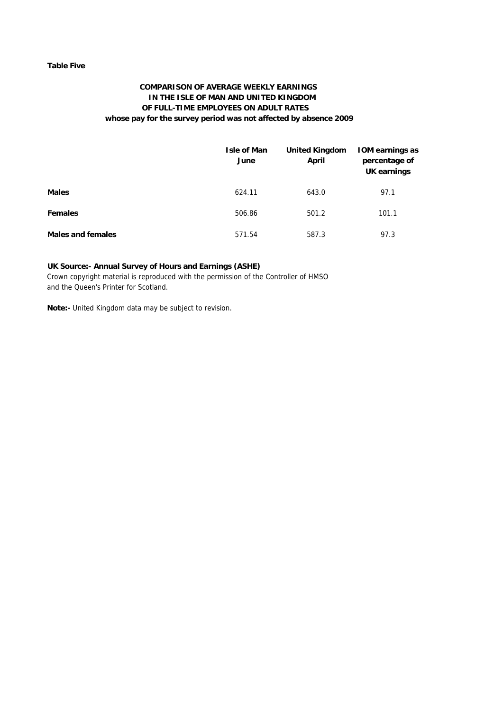#### **Table Five**

#### **COMPARISON OF AVERAGE WEEKLY EARNINGS IN THE ISLE OF MAN AND UNITED KINGDOM OF FULL-TIME EMPLOYEES ON ADULT RATES whose pay for the survey period was not affected by absence 2009**

|                          | <b>Isle of Man</b><br>June | <b>United Kingdom</b><br>April | <b>IOM earnings as</b><br>percentage of<br>UK earnings |
|--------------------------|----------------------------|--------------------------------|--------------------------------------------------------|
| <b>Males</b>             | 624.11                     | 643.0                          | 97.1                                                   |
| <b>Females</b>           | 506.86                     | 501.2                          | 101.1                                                  |
| <b>Males and females</b> | 571.54                     | 587.3                          | 97.3                                                   |

#### **UK Source:- Annual Survey of Hours and Earnings (ASHE)**

Crown copyright material is reproduced with the permission of the Controller of HMSO and the Queen's Printer for Scotland.

**Note:-** United Kingdom data may be subject to revision.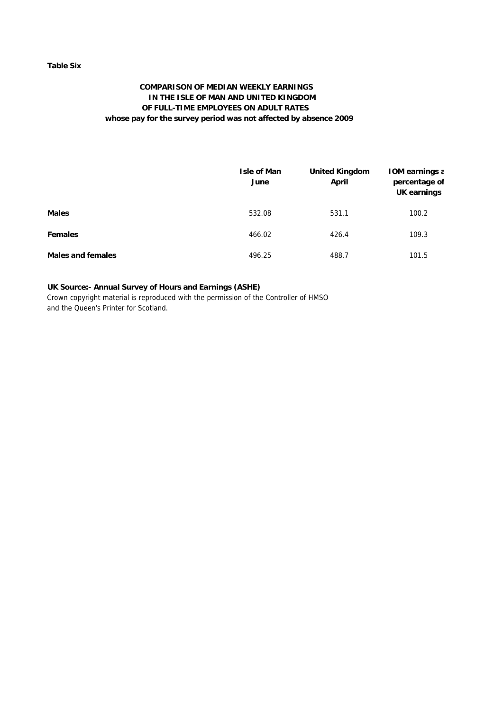#### **Table Six**

#### **COMPARISON OF MEDIAN WEEKLY EARNINGS IN THE ISLE OF MAN AND UNITED KINGDOM OF FULL-TIME EMPLOYEES ON ADULT RATES whose pay for the survey period was not affected by absence 2009**

|                   | Isle of Man<br>June | <b>United Kingdom</b><br>April | <b>IOM earnings a</b><br>percentage of<br>UK earnings |
|-------------------|---------------------|--------------------------------|-------------------------------------------------------|
| <b>Males</b>      | 532.08              | 531.1                          | 100.2                                                 |
| <b>Females</b>    | 466.02              | 426.4                          | 109.3                                                 |
| Males and females | 496.25              | 488.7                          | 101.5                                                 |

#### **UK Source:- Annual Survey of Hours and Earnings (ASHE)**

Crown copyright material is reproduced with the permission of the Controller of HMSO and the Queen's Printer for Scotland.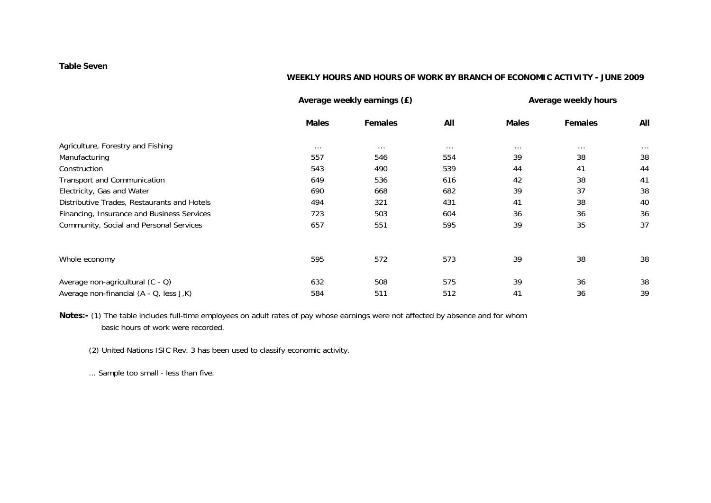#### **Table Seven**

#### **WEEKLY HOURS AND HOURS OF WORK BY BRANCH OF ECONOMIC ACTIVITY - JUNE 2009**

|                                             |              | Average weekly earnings (£) |          |              | Average weekly hours |          |
|---------------------------------------------|--------------|-----------------------------|----------|--------------|----------------------|----------|
|                                             | <b>Males</b> | <b>Females</b>              | All      | <b>Males</b> | <b>Females</b>       | All      |
| Agriculture, Forestry and Fishing           | $\cdots$     | $\cdots$                    | $\cdots$ | $\cdots$     | $\cdots$             | $\cdots$ |
| Manufacturing                               | 557          | 546                         | 554      | 39           | 38                   | 38       |
| Construction                                | 543          | 490                         | 539      | 44           | 41                   | 44       |
| Transport and Communication                 | 649          | 536                         | 616      | 42           | 38                   | 41       |
| Electricity, Gas and Water                  | 690          | 668                         | 682      | 39           | 37                   | 38       |
| Distributive Trades, Restaurants and Hotels | 494          | 321                         | 431      | 41           | 38                   | 40       |
| Financing, Insurance and Business Services  | 723          | 503                         | 604      | 36           | 36                   | 36       |
| Community, Social and Personal Services     | 657          | 551                         | 595      | 39           | 35                   | 37       |
| Whole economy                               | 595          | 572                         | 573      | 39           | 38                   | 38       |
| Average non-agricultural (C - Q)            | 632          | 508                         | 575      | 39           | 36                   | 38       |
| Average non-financial (A - Q, less J,K)     | 584          | 511                         | 512      | 41           | 36                   | 39       |

**Notes:-** (1) The table includes full-time employees on adult rates of pay whose earnings were not affected by absence and for whom basic hours of work were recorded.

(2) United Nations ISIC Rev. 3 has been used to classify economic activity.

... Sample too small - less than five.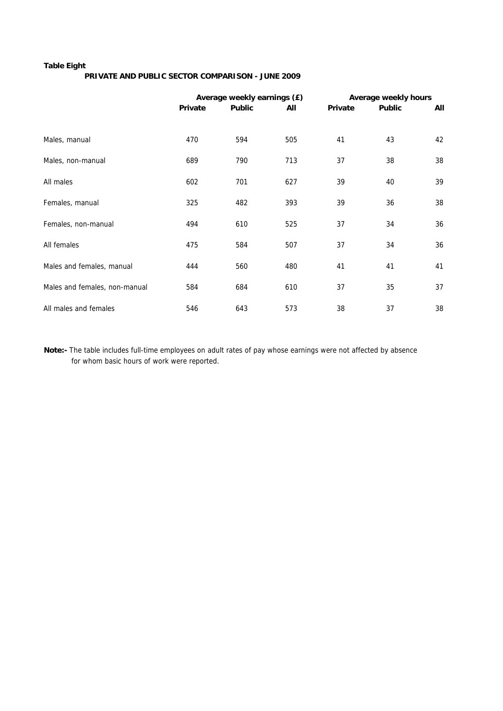#### **Table Eight**

#### **PRIVATE AND PUBLIC SECTOR COMPARISON - JUNE 2009**

|                               |         | Average weekly earnings (£) |     |         | Average weekly hours |     |
|-------------------------------|---------|-----------------------------|-----|---------|----------------------|-----|
|                               | Private | <b>Public</b>               | All | Private | <b>Public</b>        | All |
|                               |         |                             |     |         |                      |     |
| Males, manual                 | 470     | 594                         | 505 | 41      | 43                   | 42  |
| Males, non-manual             | 689     | 790                         | 713 | 37      | 38                   | 38  |
| All males                     | 602     | 701                         | 627 | 39      | 40                   | 39  |
| Females, manual               | 325     | 482                         | 393 | 39      | 36                   | 38  |
| Females, non-manual           | 494     | 610                         | 525 | 37      | 34                   | 36  |
| All females                   | 475     | 584                         | 507 | 37      | 34                   | 36  |
| Males and females, manual     | 444     | 560                         | 480 | 41      | 41                   | 41  |
| Males and females, non-manual | 584     | 684                         | 610 | 37      | 35                   | 37  |
| All males and females         | 546     | 643                         | 573 | 38      | 37                   | 38  |

**Note:-** The table includes full-time employees on adult rates of pay whose earnings were not affected by absence for whom basic hours of work were reported.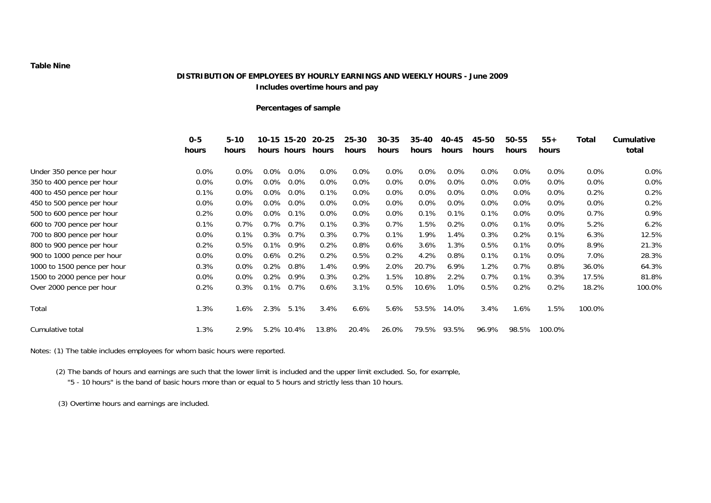#### **Table Nine**

#### **DISTRIBUTION OF EMPLOYEES BY HOURLY EARNINGS AND WEEKLY HOURS - June 2009 Includes overtime hours and pay**

#### **Percentages of sample**

|                             | $0 - 5$<br>hours | $5 - 10$<br>hours |         | 10-15 15-20<br>hours hours | 20-25<br>hours | $25 - 30$<br>hours | $30 - 35$<br>hours | 35-40<br>hours | 40-45<br>hours | 45-50<br>hours | 50-55<br>hours | $55+$<br>hours | Total   | Cumulative<br>total |
|-----------------------------|------------------|-------------------|---------|----------------------------|----------------|--------------------|--------------------|----------------|----------------|----------------|----------------|----------------|---------|---------------------|
| Under 350 pence per hour    | $0.0\%$          | $0.0\%$           | $0.0\%$ | $0.0\%$                    | $0.0\%$        | $0.0\%$            | $0.0\%$            | $0.0\%$        | $0.0\%$        | $0.0\%$        | $0.0\%$        | $0.0\%$        | $0.0\%$ | 0.0%                |
| 350 to 400 pence per hour   | $0.0\%$          | $0.0\%$           | $0.0\%$ | $0.0\%$                    | $0.0\%$        | $0.0\%$            | $0.0\%$            | $0.0\%$        | $0.0\%$        | $0.0\%$        | $0.0\%$        | $0.0\%$        | 0.0%    | 0.0%                |
| 400 to 450 pence per hour   | 0.1%             | $0.0\%$           | $0.0\%$ | $0.0\%$                    | 0.1%           | $0.0\%$            | $0.0\%$            | $0.0\%$        | $0.0\%$        | $0.0\%$        | $0.0\%$        | $0.0\%$        | 0.2%    | 0.2%                |
| 450 to 500 pence per hour   | $0.0\%$          | 0.0%              | $0.0\%$ | $0.0\%$                    | $0.0\%$        | $0.0\%$            | $0.0\%$            | $0.0\%$        | $0.0\%$        | 0.0%           | $0.0\%$        | $0.0\%$        | 0.0%    | 0.2%                |
| 500 to 600 pence per hour   | 0.2%             | $0.0\%$           | $0.0\%$ | 0.1%                       | $0.0\%$        | $0.0\%$            | $0.0\%$            | 0.1%           | 0.1%           | 0.1%           | $0.0\%$        | $0.0\%$        | 0.7%    | 0.9%                |
| 600 to 700 pence per hour   | 0.1%             | 0.7%              | 0.7%    | 0.7%                       | 0.1%           | 0.3%               | 0.7%               | 1.5%           | 0.2%           | 0.0%           | 0.1%           | $0.0\%$        | 5.2%    | 6.2%                |
| 700 to 800 pence per hour   | $0.0\%$          | 0.1%              | 0.3%    | 0.7%                       | 0.3%           | $0.7\%$            | 0.1%               | 1.9%           | 1.4%           | 0.3%           | 0.2%           | 0.1%           | 6.3%    | 12.5%               |
| 800 to 900 pence per hour   | 0.2%             | 0.5%              | 0.1%    | 0.9%                       | 0.2%           | $0.8\%$            | $0.6\%$            | 3.6%           | 1.3%           | 0.5%           | 0.1%           | $0.0\%$        | 8.9%    | 21.3%               |
| 900 to 1000 pence per hour  | $0.0\%$          | 0.0%              | 0.6%    | 0.2%                       | 0.2%           | 0.5%               | 0.2%               | 4.2%           | 0.8%           | 0.1%           | 0.1%           | 0.0%           | 7.0%    | 28.3%               |
| 1000 to 1500 pence per hour | 0.3%             | $0.0\%$           | 0.2%    | $0.8\%$                    | 1.4%           | $0.9\%$            | 2.0%               | 20.7%          | 6.9%           | 1.2%           | 0.7%           | 0.8%           | 36.0%   | 64.3%               |
| 1500 to 2000 pence per hour | $0.0\%$          | 0.0%              | 0.2%    | 0.9%                       | 0.3%           | 0.2%               | 1.5%               | 10.8%          | 2.2%           | 0.7%           | 0.1%           | 0.3%           | 17.5%   | 81.8%               |
| Over 2000 pence per hour    | 0.2%             | 0.3%              | 0.1%    | 0.7%                       | $0.6\%$        | 3.1%               | 0.5%               | 10.6%          | 1.0%           | 0.5%           | 0.2%           | 0.2%           | 18.2%   | 100.0%              |
| Total                       | 1.3%             | $1.6\%$           | 2.3%    | 5.1%                       | 3.4%           | 6.6%               | 5.6%               | 53.5%          | 14.0%          | 3.4%           | 1.6%           | $1.5\%$        | 100.0%  |                     |
| Cumulative total            | 1.3%             | 2.9%              |         | 5.2% 10.4%                 | 13.8%          | 20.4%              | 26.0%              | 79.5%          | 93.5%          | 96.9%          | 98.5%          | 100.0%         |         |                     |

Notes: (1) The table includes employees for whom basic hours were reported.

(2) The bands of hours and earnings are such that the lower limit is included and the upper limit excluded. So, for example,

"5 - 10 hours" is the band of basic hours more than or equal to 5 hours and strictly less than 10 hours.

(3) Overtime hours and earnings are included.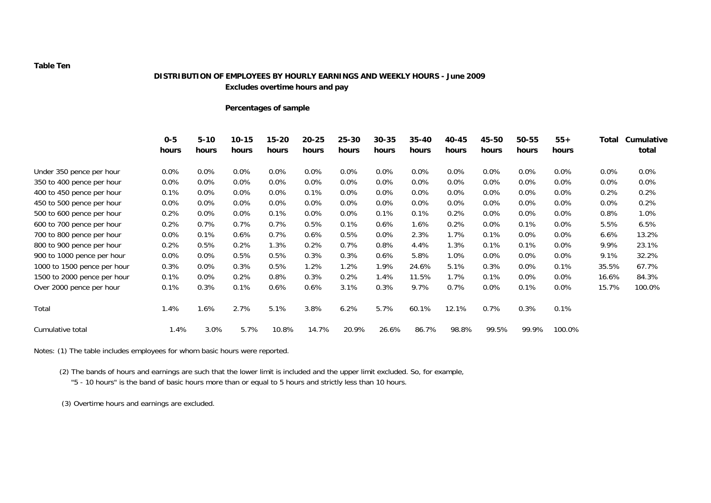#### **Table Ten**

#### **DISTRIBUTION OF EMPLOYEES BY HOURLY EARNINGS AND WEEKLY HOURS - June 2009 Excludes overtime hours and pay**

#### **Percentages of sample**

|                             | $0 - 5$<br>hours | $5 - 10$<br>hours | $10 - 15$<br>hours | $15 - 20$<br>hours | $20 - 25$<br>hours | $25 - 30$<br>hours | $30 - 35$<br>hours | $35 - 40$<br>hours | 40-45<br>hours | 45-50<br>hours | 50-55<br>hours | $55+$<br>hours | Total   | Cumulative<br>total |
|-----------------------------|------------------|-------------------|--------------------|--------------------|--------------------|--------------------|--------------------|--------------------|----------------|----------------|----------------|----------------|---------|---------------------|
| Under 350 pence per hour    | $0.0\%$          | $0.0\%$           | 0.0%               | $0.0\%$            | 0.0%               | $0.0\%$            | $0.0\%$            | 0.0%               | 0.0%           | $0.0\%$        | $0.0\%$        | 0.0%           | $0.0\%$ | $0.0\%$             |
| 350 to 400 pence per hour   | $0.0\%$          | 0.0%              | 0.0%               | $0.0\%$            | 0.0%               | $0.0\%$            | $0.0\%$            | 0.0%               | $0.0\%$        | $0.0\%$        | 0.0%           | 0.0%           | $0.0\%$ | 0.0%                |
| 400 to 450 pence per hour   | 0.1%             | 0.0%              | $0.0\%$            | $0.0\%$            | 0.1%               | $0.0\%$            | 0.0%               | 0.0%               | $0.0\%$        | $0.0\%$        | $0.0\%$        | 0.0%           | 0.2%    | 0.2%                |
| 450 to 500 pence per hour   | $0.0\%$          | 0.0%              | 0.0%               | 0.0%               | 0.0%               | $0.0\%$            | 0.0%               | 0.0%               | $0.0\%$        | $0.0\%$        | $0.0\%$        | 0.0%           | $0.0\%$ | 0.2%                |
| 500 to 600 pence per hour   | 0.2%             | $0.0\%$           | 0.0%               | 0.1%               | $0.0\%$            | $0.0\%$            | 0.1%               | 0.1%               | 0.2%           | $0.0\%$        | $0.0\%$        | 0.0%           | 0.8%    | 1.0%                |
| 600 to 700 pence per hour   | 0.2%             | 0.7%              | 0.7%               | 0.7%               | 0.5%               | 0.1%               | 0.6%               | 1.6%               | 0.2%           | $0.0\%$        | 0.1%           | 0.0%           | 5.5%    | 6.5%                |
| 700 to 800 pence per hour   | $0.0\%$          | 0.1%              | 0.6%               | 0.7%               | 0.6%               | 0.5%               | 0.0%               | 2.3%               | 1.7%           | 0.1%           | $0.0\%$        | 0.0%           | 6.6%    | 13.2%               |
| 800 to 900 pence per hour   | 0.2%             | 0.5%              | 0.2%               | $1.3\%$            | 0.2%               | 0.7%               | 0.8%               | 4.4%               | 1.3%           | 0.1%           | 0.1%           | 0.0%           | 9.9%    | 23.1%               |
| 900 to 1000 pence per hour  | $0.0\%$          | 0.0%              | 0.5%               | 0.5%               | 0.3%               | 0.3%               | 0.6%               | 5.8%               | 1.0%           | $0.0\%$        | $0.0\%$        | 0.0%           | 9.1%    | 32.2%               |
| 1000 to 1500 pence per hour | 0.3%             | 0.0%              | 0.3%               | 0.5%               | 1.2%               | 1.2%               | 1.9%               | 24.6%              | 5.1%           | 0.3%           | $0.0\%$        | 0.1%           | 35.5%   | 67.7%               |
| 1500 to 2000 pence per hour | 0.1%             | $0.0\%$           | 0.2%               | 0.8%               | 0.3%               | 0.2%               | 1.4%               | 11.5%              | 1.7%           | 0.1%           | $0.0\%$        | 0.0%           | 16.6%   | 84.3%               |
| Over 2000 pence per hour    | 0.1%             | 0.3%              | 0.1%               | 0.6%               | 0.6%               | 3.1%               | 0.3%               | 9.7%               | 0.7%           | $0.0\%$        | 0.1%           | 0.0%           | 15.7%   | 100.0%              |
| Total                       | 1.4%             | $1.6\%$           | 2.7%               | 5.1%               | 3.8%               | 6.2%               | 5.7%               | 60.1%              | 12.1%          | 0.7%           | 0.3%           | 0.1%           |         |                     |
| Cumulative total            | 1.4%             | 3.0%              | 5.7%               | 10.8%              | 14.7%              | 20.9%              | 26.6%              | 86.7%              | 98.8%          | 99.5%          | 99.9%          | 100.0%         |         |                     |

Notes: (1) The table includes employees for whom basic hours were reported.

(2) The bands of hours and earnings are such that the lower limit is included and the upper limit excluded. So, for example,

"5 - 10 hours" is the band of basic hours more than or equal to 5 hours and strictly less than 10 hours.

(3) Overtime hours and earnings are excluded.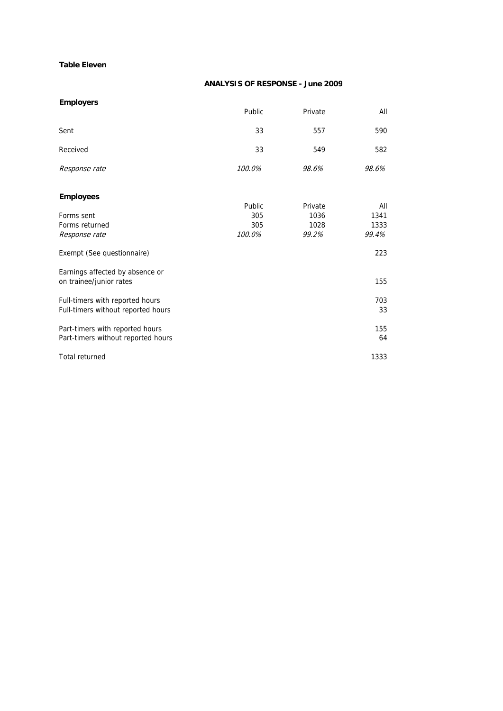#### **Table Eleven**

#### **ANALYSIS OF RESPONSE - June 2009**

| <b>Employers</b>                                                      |        |         |           |
|-----------------------------------------------------------------------|--------|---------|-----------|
|                                                                       | Public | Private | All       |
| Sent                                                                  | 33     | 557     | 590       |
| Received                                                              | 33     | 549     | 582       |
| Response rate                                                         | 100.0% | 98.6%   | 98.6%     |
| <b>Employees</b>                                                      | Public | Private | All       |
| Forms sent                                                            | 305    | 1036    | 1341      |
| Forms returned                                                        | 305    | 1028    | 1333      |
| Response rate                                                         | 100.0% | 99.2%   | 99.4%     |
| Exempt (See questionnaire)                                            |        |         | 223       |
| Earnings affected by absence or                                       |        |         |           |
| on trainee/junior rates                                               |        |         | 155       |
| Full-timers with reported hours<br>Full-timers without reported hours |        |         | 703<br>33 |
| Part-timers with reported hours<br>Part-timers without reported hours |        |         | 155<br>64 |
| <b>Total returned</b>                                                 |        |         | 1333      |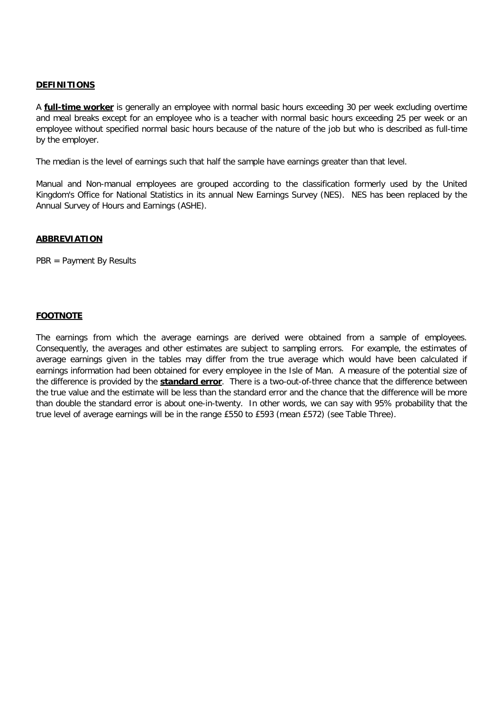#### **DEFINITIONS**

A **full-time worker** is generally an employee with normal basic hours exceeding 30 per week excluding overtime and meal breaks except for an employee who is a teacher with normal basic hours exceeding 25 per week or an employee without specified normal basic hours because of the nature of the job but who is described as full-time by the employer.

The median is the level of earnings such that half the sample have earnings greater than that level.

Manual and Non-manual employees are grouped according to the classification formerly used by the United Kingdom's Office for National Statistics in its annual New Earnings Survey (NES). NES has been replaced by the Annual Survey of Hours and Earnings (ASHE).

#### **ABBREVIATION**

PBR = Payment By Results

#### **FOOTNOTE**

The earnings from which the average earnings are derived were obtained from a sample of employees. Consequently, the averages and other estimates are subject to sampling errors. For example, the estimates of average earnings given in the tables may differ from the true average which would have been calculated if earnings information had been obtained for every employee in the Isle of Man. A measure of the potential size of the difference is provided by the **standard error**. There is a two-out-of-three chance that the difference between the true value and the estimate will be less than the standard error and the chance that the difference will be more than double the standard error is about one-in-twenty. In other words, we can say with 95% probability that the true level of average earnings will be in the range £550 to £593 (mean £572) (see Table Three).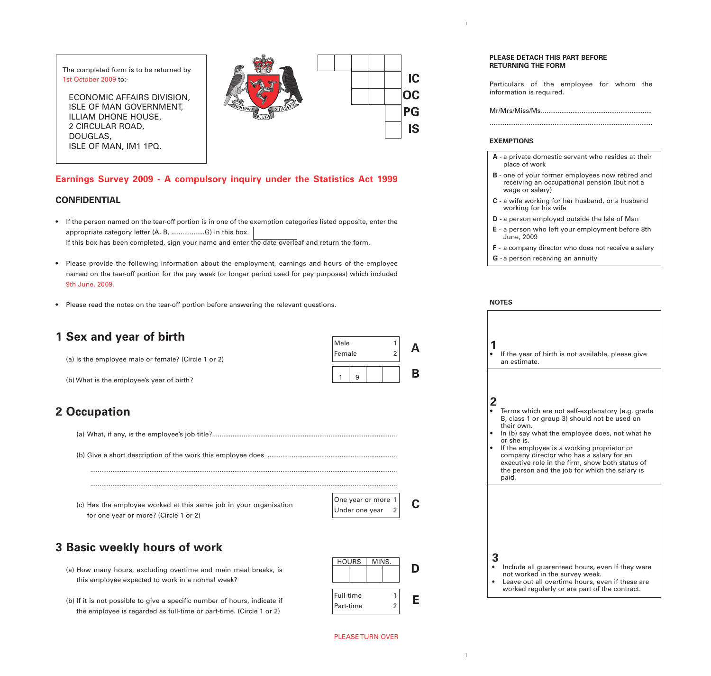The completed form is to be returned by 1st October 2009 to:-

ECONOMIC AFFAIRS DIVISION, ISLE OF MAN GOVERNMENT, ILLIAM DHONE HOUSE, 2 CIRCULAR ROAD, DOUGLAS, ISLE OF MAN, IM1 1PQ.



**IC**

**OC**

**PG**

**IS**

**A**

**B**

### **Earnings Survey 2009 - A compulsory inquiry under the Statistics Act 1999**

#### **CONFIDENTIAL**

- If the person named on the tear-off portion is in one of the exemption categories listed opposite, enter the appropriate category letter (A, B, ..................G) in this box. If this box has been completed, sign your name and enter the date overleaf and return the form.
- Please provide the following information about the employment, earnings and hours of the employee named on the tear-off portion for the pay week (or longer period used for pay purposes) which included 9th June, 2009.
- Please read the notes on the tear-off portion before answering the relevant questions.

### **1 Sex and year of birth**

(a) Is the employee male or female? (Circle 1 or 2)

(b) What is the employee's year of birth?

# **2 Occupation**

(a) What, if any, is the employee's job title?....................................................................................................

(b) Give a short description of the work this employee does ......................................................................

...................................................................................................................................................................... ......................................................................................................................................................................

(c) Has the employee worked at this same job in your organisation for one year or more? (Circle 1 or 2)

| One year or more $1$ |                |  |
|----------------------|----------------|--|
| Under one year       | $\overline{2}$ |  |

 $1 \mid 9$ 

Male 1 Female

# **3 Basic weekly hours of work**

(a) How many hours, excluding overtime and main meal breaks, is this employee expected to work in a normal week?

(b) If it is not possible to give a specific number of hours, indicate if the employee is regarded as full-time or part-time. (Circle 1 or 2)



#### **PLEASE DETACH THIS PART BEFORE RETURNING THE FORM**

Particulars of the employee for whom the information is required.

Mr/Mrs/Miss/Ms............................................................

........................................................................................

#### **EXEMPTIONS**

- **A** a private domestic servant who resides at their place of work
- **B** one of your former employees now retired and receiving an occupational pension (but not a wage or salary)
- **C** a wife working for her husband, or a husband working for his wife
- **D** a person employed outside the Isle of Man
- **E** a person who left your employment before 8th June, 2009
- **F** a company director who does not receive a salary
- **G** a person receiving an annuity

#### **NOTES**

|   | If the year of birth is not available, please give<br>an estimate.                                                                                                                                                                                                                                                                                                                     |
|---|----------------------------------------------------------------------------------------------------------------------------------------------------------------------------------------------------------------------------------------------------------------------------------------------------------------------------------------------------------------------------------------|
| 2 | Terms which are not self-explanatory (e.g. grade<br>B, class 1 or group 3) should not be used on<br>their own.<br>In (b) say what the employee does, not what he<br>or she is.<br>If the employee is a working proprietor or<br>company director who has a salary for an<br>executive role in the firm, show both status of<br>the person and the job for which the salary is<br>paid. |
|   | Include all guaranteed hours, even if they were<br>not worked in the survey week.<br>Leave out all overtime hours, even if these are<br>worked regularly or are part of the contract.                                                                                                                                                                                                  |

#### PLEASE TURN OVER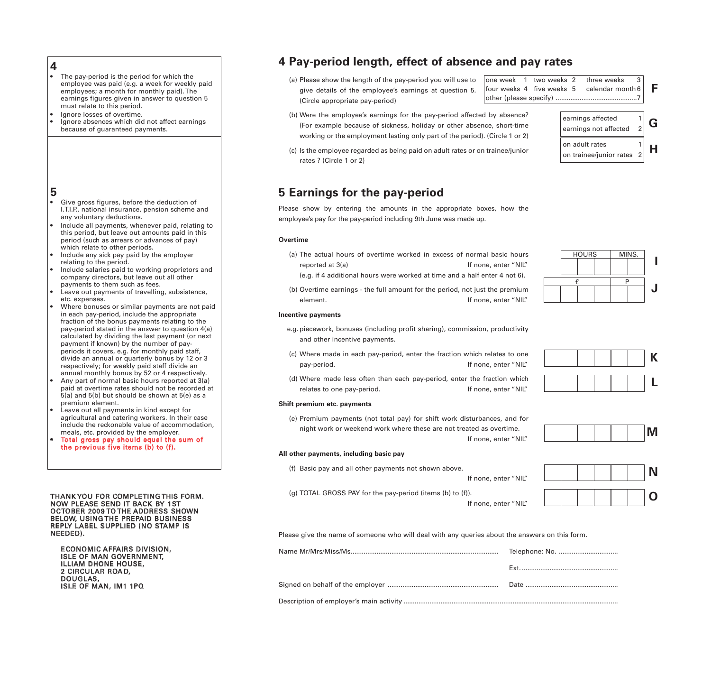- **4** The pay-period is the period for which the employee was paid (e.g. a week for weekly paid employees; a month for monthly paid). The earnings figures given in answer to question 5 must relate to this period.
- Ignore losses of overtime. • Ignore absences which did not affect earnings because of guaranteed payments.

### **5**

- Give gross figures, before the deduction of I.T.I.P., national insurance, pension scheme and any voluntary deductions.
- Include all payments, whenever paid, relating to this period, but leave out amounts paid in this period (such as arrears or advances of pay) which relate to other periods.
- Include any sick pay paid by the employer relating to the period.
- Include salaries paid to working proprietors and company directors, but leave out all other payments to them such as fees.
- Leave out payments of travelling, subsistence, etc. expenses.
- Where bonuses or similar payments are not paid in each pay-period, include the appropriate fraction of the bonus payments relating to the pay-period stated in the answer to question 4(a) calculated by dividing the last payment (or next payment if known) by the number of payperiods it covers, e.g. for monthly paid staff, divide an annual or quarterly bonus by 12 or 3 respectively; for weekly paid staff divide an annual monthly bonus by 52 or 4 respectively.
- Any part of normal basic hours reported at  $3(a)$ paid at overtime rates should not be recorded at 5(a) and 5(b) but should be shown at 5(e) as a premium element.
- Leave out all payments in kind except for agricultural and catering workers. In their case include the reckonable value of accommodation, meals, etc. provided by the employer.
- Total gross pay should equal the sum of the previous five items (b) to (f).

#### THANK YOU FOR COMPLETING THIS FORM. NOW PLEASE SEND IT BACK BY 1ST OCTOBER 2009 TO THE ADDRESS SHOWN BELOW, USING THE PREPAID BUSINESS REPLY LABEL SUPPLIED (NO STAMP IS NEEDED).

ECONOMIC AFFAIRS DIVISION, ISLE OF MAN GOVERNMENT, ILLIAM DHONE HOUSE, 2 CIRCULAR ROA D, DOUGLAS, ISLE OF MAN, IM1 1PQ

# **4 Pay-period length, effect of absence and pay rates**

(a) Please show the length of the pay-period you will use to give details of the employee's earnings at question 5. (Circle appropriate pay-period)

one week 1 two weeks 2 three weeks four weeks 4 five weeks 5 calendar month 6 other (please specify) ............................................7 **F**

on adult rates 1

on trainee/junior rates 2

- (b) Were the employee's earnings for the pay-period affected by absence? (For example because of sickness, holiday or other absence, short-time working or the employment lasting only part of the period). (Circle 1 or 2)
- (c) Is the employee regarded as being paid on adult rates or on trainee/junior rates ? (Circle 1 or 2)

# **5 Earnings for the pay-period**

Please show by entering the amounts in the appropriate boxes, how the employee's pay for the pay-period including 9th June was made up.

#### **Overtime**

- (a) The actual hours of overtime worked in excess of normal basic hours reported at 3(a) The set of the set of the set of the If none, enter "NIL"
	- (e.g. if 4 additional hours were worked at time and a half enter 4 not 6).
- (b) Overtime earnings the full amount for the period, not just the premium element. If none, enter "NIL"

#### **Incentive payments**

- e.g. piecework, bonuses (including profit sharing), commission, productivity and other incentive payments.
- (c) Where made in each pay-period, enter the fraction which relates to one pay-period. The pay-period. The set of the set of the set of the set of the set of the set of the set of the set of the set of the set of the set of the set of the set of the set of the set of the set of the set of the set
- (d) Where made less often than each pay-period, enter the fraction which relates to one pay-period. The same section of the set of the set of the set of the set of the set of the set o

#### **Shift premium etc. payments**

(e) Premium payments (not total pay) for shift work disturbances, and for night work or weekend work where these are not treated as overtime. If none, enter "NIL"

#### **All other payments, including basic pay**

(f) Basic pay and all other payments not shown above.

If none, enter "NIL"

(g) TOTAL GROSS PAY for the pay-period (items (b) to (f)).

If none, enter "NIL"



Please give the name of someone who will deal with any queries about the answers on this form.









earnings affected  $\begin{vmatrix} 1 \\ 2 \end{vmatrix}$  **G** 

**H**